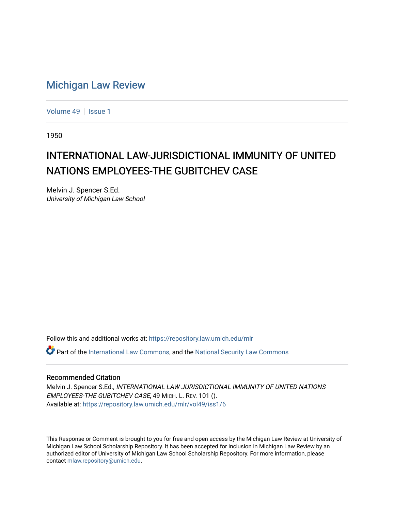# [Michigan Law Review](https://repository.law.umich.edu/mlr)

[Volume 49](https://repository.law.umich.edu/mlr/vol49) | [Issue 1](https://repository.law.umich.edu/mlr/vol49/iss1)

1950

# INTERNATIONAL LAW-JURISDICTIONAL IMMUNITY OF UNITED NATIONS EMPLOYEES-THE GUBITCHEV CASE

Melvin J. Spencer S.Ed. University of Michigan Law School

Follow this and additional works at: [https://repository.law.umich.edu/mlr](https://repository.law.umich.edu/mlr?utm_source=repository.law.umich.edu%2Fmlr%2Fvol49%2Fiss1%2F6&utm_medium=PDF&utm_campaign=PDFCoverPages) 

 $\bullet$  Part of the [International Law Commons,](http://network.bepress.com/hgg/discipline/609?utm_source=repository.law.umich.edu%2Fmlr%2Fvol49%2Fiss1%2F6&utm_medium=PDF&utm_campaign=PDFCoverPages) and the National Security Law Commons

### Recommended Citation

Melvin J. Spencer S.Ed., INTERNATIONAL LAW-JURISDICTIONAL IMMUNITY OF UNITED NATIONS EMPLOYEES-THE GUBITCHEV CASE, 49 MICH. L. REV. 101 (). Available at: [https://repository.law.umich.edu/mlr/vol49/iss1/6](https://repository.law.umich.edu/mlr/vol49/iss1/6?utm_source=repository.law.umich.edu%2Fmlr%2Fvol49%2Fiss1%2F6&utm_medium=PDF&utm_campaign=PDFCoverPages)

This Response or Comment is brought to you for free and open access by the Michigan Law Review at University of Michigan Law School Scholarship Repository. It has been accepted for inclusion in Michigan Law Review by an authorized editor of University of Michigan Law School Scholarship Repository. For more information, please contact [mlaw.repository@umich.edu](mailto:mlaw.repository@umich.edu).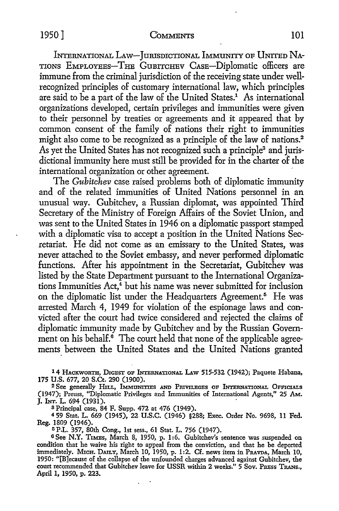INTERNATIONAL LAW-JURISDICTIONAL IMMUNITY OF UNITED NA-TIONS EMPLOYEES-THE GuBITCHEV CASE-Diplomatic officers are immune from the criminal jurisdiction of the receiving state under wellrecognized principles of customary international law, which principles are said to be a part of the law of the United States.<sup>1</sup> As international organizations developed, certain privileges and immunities were given to their personnel by treaties or agreements and it appeared that by common consent of the family of nations their right to immunities might also come to be recognized as a principle of the law of nations.<sup>2</sup> As yet the United States has not recognized such a principle<sup>3</sup> and jurisdictional immunity here must still be provided for in the charter of the international organization or other agreement.

The *Guhitchev* case raised problems both of diplomatic immunity and of the related immunities of United Nations personnel in an unusual way. Gubitchev, a Russian diplomat, was appointed Third Secretary of the Ministry of Foreign Affairs of the Soviet Union, and was sent to the United States in 1946 on a diplomatic passport stamped with a diplomatic visa to accept a position in the United Nations Secretariat. He did not come as an emissary to the United States, was never attached to the Soviet embassy, and never performed diplomatic functions. After his appointment in the Secretariat, Gubitchev was listed by the State Department pursuant to the International Organizations Immunities  $Act<sup>4</sup>$  but his name was never submitted for inclusion on the diplomatic list under the Headquarters Agreement.<sup>5</sup> He was arrested March 4, 1949 for violation of the espionage laws and convicted after the court had twice considered and rejected the claims of diplomatic immunity made by Gubitchev and by the Russian Government on his behalf. $\epsilon$  The court held that none of the applicable agreements between the United States and the United Nations granted

14 HACKWORTH, DIGEST OF INTERNATIONAL LAW 515-532 (1942); Paquete Habana, 175 U.S. 677, 20 S.Ct. 290 (1900).

<sup>2</sup> See generally Hill, IMMUNITIES AND PRIVILEGES OF INTERNATIONAL OFFICIALS (1947); Preuss, "Diplomatic Privileges and Immunities of International Agents," 25 AM.. **J. INT. L. 694 (1931).** 

8 Principal case, 84 F. Supp. 472 at 476 (1949).

<sup>4</sup>59 Stat. L. 669 (1945), 22 U.S.C. (1946) §288; Exec. Order No. 9698, 11 Fed. Reg. 1809 (1946).

<sup>5</sup> P.L. 357, 80th Cong., 1st sess., 61 Stat. L. 756 (1947).

<sup>6</sup>See **N.Y.** TxMEs, March 8, 1950, p. l :6. Gubitchev's sentence was suspended on condition that he waive his right to appeal from the conviction, and that he be deported immediately. MICH. DAILY, March 10, 1950, p. 1:2. Cf. news item in PRAVDA, March 10, 1950: "[B]ecause of the collapse of the unfounded charges advanced against Gubitchev, the court recommended that Gubitchev leave for USSR within 2 weeks." 5 Sov. PREss TRANs., April 1, 1950, p. 223.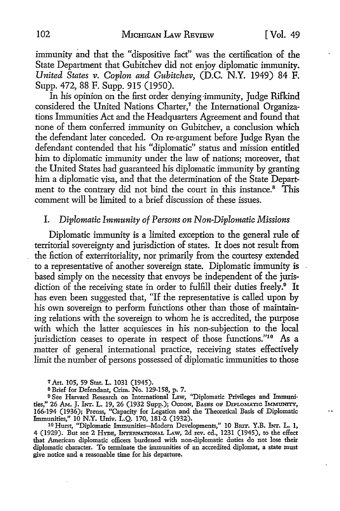immunity and that the "dispositive fact" was the certification of the State Department that Gubitchev did not enjoy diplomatic immunity. *United States v. Coplon and Gubitchev,* (D.C. N.Y. 1949) 84 F. Supp. 472, 88 F. Supp. 915 (1950).

In his opinion on the first order denying·immunity, Judge Rifkind considered the United Nations Charter,<sup>7</sup> the International Organizations Immunities Act and the Headquarters Agreement and found that none of them conferred immunity on Gubitchev, a conclusion which the defendant later conceded. On re-argument before Judge Ryan the defendant contended that his "diplomatic" status and mission entitled him to diplomatic immunity under the law of nations; moreover, that the United States had guaranteed his diplomatic immunity by granting him a diplomatic visa, and that the determination of the State Department to the contrary did not bind the court in this instance.<sup>8</sup> This comment will be limited to a brief discussion of these issues.

## I. *Diplomatic Immunity of Persons on Non-Diplomatic Missions*

Diplomatic immunity is a limited exception to the general rule of territorial sovereignty and jurisdiction of states. It does not result from the fiction of exterritoriality, nor primarily from the courtesy extended to a representative of another sovereign state. Diplomatic immunity is based simply on the necessity that envoys be independent of the jurisdiction of the receiving state in order to fulfill their duties freely.<sup>9</sup> It has even been suggested that, "If the representative is called upon by his own sovereign to perform functions other than those of maintaining relations with the sovereign to whom he is accredited, the purpose with which the latter acquiesces in his non-subjection to the local jurisdiction ceases to operate in respect of those functions."<sup>10</sup> As a matter of general international practice, receiving states effectively limit the number of persons possessed of diplomatic immunities to those

<sup>7</sup>Art. 105, 59 Stat. L. 1031 (1945).

s Brief for Defendant, Crim. No. 129-158, p. 7.

<sup>9</sup> See Harvard Research on International Law, "Diplomatic Privileges and Immunities," 26 AM. J. INT. L. 19, 26 (1932 Supp.); OGDON, BASES OF DIPLOMATIC IMMUNITY, 166-194 (1936); Preuss, "Capacity for Legation and the Theoretical Basis of Diplomatic Immunities," IO N.Y. Univ. L.Q. 170, 181-2 (1932).

10 Hurst, "Diplomatic Immunities-Modern Developments," 10 BRIT. Y.B. INT. L. 1, 4 (1929). But see 2 HYDE, INTERNATIONAL LAw, 2d rev. ed., 1231 (1945), to the effect that American diplomatic officers burdened with non-diplomatic duties do not lose their diplomatic character. To terminate the immunities of an accredited diplomat, a state must give notice and a reasonable time for his departure.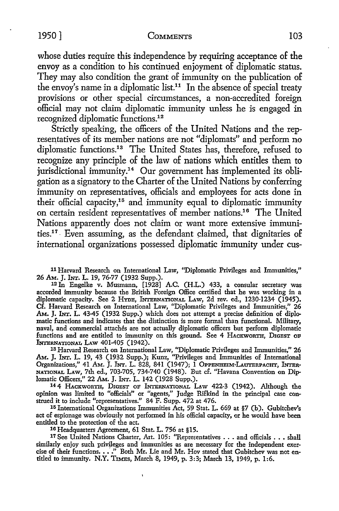whose duties require this independence by requiring acceptance of the envoy as a condition to his continued enjoyment of diplomatic status. They may also condition the grant of immunity on the publication of the envoy's name in a diplomatic list.<sup>11</sup> In the absence of special treaty provisions or other special circumstances, a non-accredited foreign official may not claim diplomatic immunity unless he is engaged in recognized diplomatic functions.<sup>12</sup>

Strictly speaking, the officers of the United Nations and the representatives of its member nations are not "diplomats" and perform no diplomatic functions.<sup>13</sup> The United States has, therefore, refused to recognize any principle of the law of nations which entitles them to jurisdictional immunity.<sup>14</sup> Our government has implemented its obligation as a signatory to the Charter of the United Nations by conferring immunity on representatives, officials and employees for acts done in their official capacity, $15$  and immunity equal to diplomatic immunity on certain resident representatives of member nations.16 The United Nations apparently does not claim or want more extensive immunities.17 • Even assuming, as the defendant daimed, that dignitaries of international organizations possessed diplomatic immunity under cus-

**11** Harvard Research on International Law, ''Diplomatic Privileges and Immunities,"

<sup>12</sup> In Engelke v. Musmann, [1928] A.C. (H.L.) 433, a consular secretary was accorded immunity because the British Foreign Office certified that he was working in a diplomatic capacity. See 2 HYDE, INTERNATIONAL LAW, 2d rev. ed., 1230-1234 (1945). Cf. Harvard Research on International Law, "Diplomatic Privileges and Immunities," 26 AM. J. INT. L. 43-45 (1932 Supp.) which does not attempt a precise definition of diplomatic functions and indicates that the distinction is more formal than functional. Military, naval, and commercial attaches are not actually diplomatic officers but perform diplomatic functions and are entitled to immunity on this ground. See 4 HACKWORTH, DIGEST OF lNTERNATIONAL LAW 401-405 (1942).

18 Harvard Research on International Law, ''Diplomatic Privileges and Immunities," 26 AM. J. INT. L. 19, 43 (1932 Supp.); Kunz, "Privileges and Immunities of International Organizations,'' 41 AM. J. INT. L. 828, 841 (1947); 1 OPPENHEIM-LAUTERPACHT, INTER-NATIONAL LAw, 7th ed., 703-705, 734-740 (1948). But cf. "Havana Convention on Diplomatic Officers," 22 AM. J. INT. L. 142 (1928 Supp.).

14 4 HACKWORTH, DIGEST OF lNTERNATIONAL LAW 422-3 (1942). Although the opinion was limited to "officials" or "agents,'' Judge Rifkind in the principal case construed it to include "representatives." 84 F. Supp. 472 at 476.

15 International Organizations Immunities Act, 59 Stat. L. 669 at §7 (b). Gubitchev's act of espionage was obviously not performed in his official capacity, or he would have been entitled to the protection of the act.<br><sup>10</sup> Headquarters Agreement, 61 Stat. L. 756 at §15.

 $\overline{\mathbf{1}}$ 

17 See United Nations Charter, Art. 105: "Representatives . . . and officials . . . shall similarly enjoy such privileges and immunities as are necessary for the independent exercise of their functions. . . ." Both Mr. Lie and Mr. Hov stated that Gubitchev was not entitled to immunity. N.Y. TIMEs, March 8, 1949, p. 3:3; March 13, 1949, p. 1:6.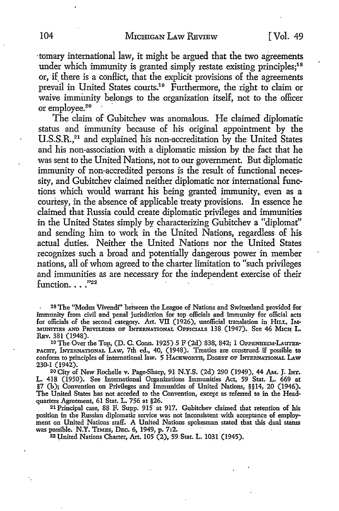·tomary international law, it might be argued that the two agreements under which immunity is granted simply restate existing principles;<sup>18</sup> or, if there is a conflict, that the explicit provisions of the agreements prevail in United States courts.19 Furthermore, the right to claim or waive immunity belongs to the organization itself, not to the officer or employee.<sup>20</sup>

The claim of Gubitchev was anomalous. He claimed diplomatic status and immunity because of his original appointment by the U.S.S.R.<sup>21</sup> and explained his non-accreditation by the United States and his non-association with a diplomatic mission by the fact that he was sent to the United Nations, not to our government. But diplomatic immunity of non-accredited persons is the result of functional necessity, and Gubitchev claimed neither diplomatic nor international functions which would warrant his being granted immunity, even as a courtesy, in the absence of applicable treaty provisions. In essence he claimed that Russia could create diplomatic privileges and immunities in the United States simply by characterizing Gubitchev a "diplomat" and sending him to work in the United Nations, regardless of his actual duties. Neither the United Nations nor the United States recognizes such a broad and potentially dangerous power in member nations, all of whom agreed to the charter limitation to "such privileges and immunities as are necessary for the independent exercise of their function.  $\ldots$ ."22

18 The ''Modus Vivendi" between the League of Nations and Switzerland provided for immunity from civil and penal jurisdiction for top officials and immunity for official acts for officials of the second category. Art. VII (1926), unofficial translation in HILL, IM-MUNITIES AND PRIVILEGES OF INTERNATIONAL OFFICIALS 138 (1947). See 46 Mich L. REv. 381 (1948).

19 The Over the Top, (D. C. Conn. 1925) 5 F (2d) 838, 842; 1 OPPENHEIM-LAUTER-PAGHT, lNTERNAl'IONAL LAW, 7th ed., 40, (1948). Treaties are construed. if possible **to**  conform to principles of international Iaw. 5 HACKWORTH, DIGEST OF INTERNATIONAL LAW 230-1 (1942).

20 City of New Rochelle v. Page-Sharp, 91 N.Y.S. (2d) 290 (1949), 44 AM. J. INT. L. 418 (1950). See International Organizations Immunities Act, 59 Stat. L. 669 at §7 (h); Convention on Privileges and Immunities of United Nations, §§14, 20 (1946). The United States has not acceded to the Convention, except as referred to in the Headquarters Agreement, 61 Stat. L. 756 at §26.

21 Principal case, 88 F. Supp. 915 at 917. Gubitchev claimed that retention of his position in the Russian diplomatic service was not inconsistent with acceptance of employment on United Nations staff. A United Nations spokesman stated that this dual status was possible. N.Y. TIMES, DEC. 6, 1949, p. 7:2.

22 United Nations Charter, Art. 105 (2), 59 Stat. L. 1031 (1945).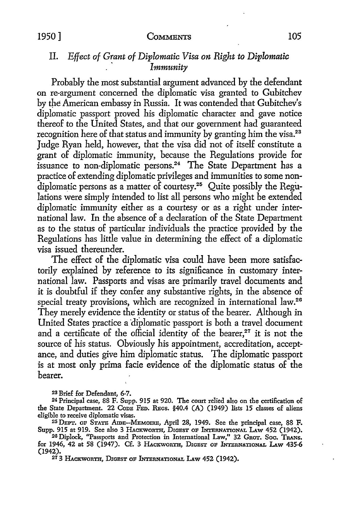# IL *Eflect of Grant of Diplomatic Visa on Right to Diplomatic*  · *Immunity*

Probably the most substantial argument advanced by the defendant on re-argument concerned the diplomatic visa granted to Gubitchev by the American embassy in Russia. It was contended that Gubitchev's diplomatic passport proved his diplomatic character and gave notice thereof to the United States, and that our government had guaranteed recognition here of that status and immunity by granting him the visa.<sup>23</sup> Judge Ryan held, however, that the visa did not of itself constitute a grant of diplomatic immunity, because the Regulations provide for issuance to non-diplomatic persons.<sup>24</sup> The State Department has a practice of extending diplomatic privileges and immunities to some nondiplomatic persons as a matter of courtesy.<sup>25</sup> Quite possibly the Regulations were simply intended to list all persons who might be extended diplomatic immunity either as a courtesy or as a right under international law. In the absence of a declaration of the State Department as to the status of particular individuals the practice provided by the Regulations has little value in determining the effect of a diplomatic visa issued thereunder.

The effect of the diplomatic visa could have been more satisfactorily explained by reference to its significance in customary international law. Passports and visas are primarily travel documents and it is doubtful if they confer any substantive rights, in the absence of special treaty provisions, which are recognized in international law.<sup>26</sup> They merely evidence the identity or status of the bearer. Although in United States practice a diplomatic passport is both a travel document and a certificate of the official identity of the bearer, $27$  it is not the source of his status. Obviously his appointment, accreditation, acceptance, and duties give him diplomatic status. The diplomatic passport is at most only prima facie evidence of the diplomatic status of the bearer.

23 Brie£ for Defendant, 6-7.

<sup>24</sup> Principal case, 88 F. Supp. 915 at 920. The court relied also on the certification of the State Department. 22 CoDE FED. REGS. §40.4 (A) (1949) lists 15 classes of aliens eligible to receive diplomatic visas.

<sup>25</sup> DEPT. OF STATE AmE-MEMoIRE, April 28, 1949. See the principal case, 88 F. Supp. 915 at 919. See also 3 HACKWORTH, DIGEST OF INTERNATIONAL LAW 452 (1942). <sup>20</sup> Diplock, "Passports and Protection in International Law," 32 Grot. Soc. Trans.

for 1946, 42 at 58 (1947). Cf. 3 HACKWORTH, DIGEST OF lNrERNATIONAL LAw 435-6 (1942).

*<sup>21</sup>* 3 HACKWORTH, DIGEST oF INTERNATIONAL LAw 452 (1942).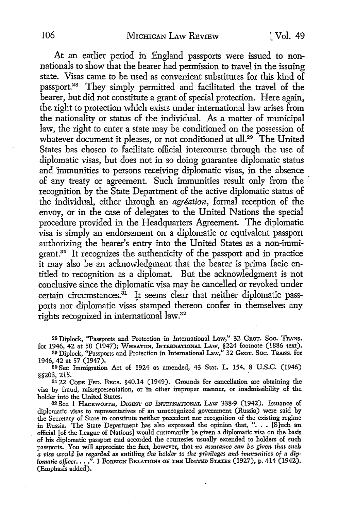At an earlier period in England passports were issued to nonnationals to show that the bearer had permission to travel in the issuing state. Visas came to be used as convenient substitutes for this kind of passport.28 They simply permitted and facilitated the travel of the bearer, but did not constitute a grant of special protection. Here again, the right to protection which exists under international law arises from the nationality or status of the individual. As a matter of municipal law, the right to enter a state may be conditioned on the possession of whatever document it pleases, or not conditioned at all.<sup>29</sup> The United States has chosen to facilitate official intercourse through the use of diplomatic visas, but does not in so doing guarantee diplomatic status and immunities to persons receiving diplomatic visas, in the absence of any treaty or agreement. Such immunities result only from the recognition by the State Department of the active diplomatic status of the individual, either through an *agreation,* formal reception of the envoy, or in the case of delegates to the United Nations the special procedure provided in the Headquarters Agreement. The diplomatic visa is simply an endorsement on a diplomatic or equivalent passport authorizing the bearer's entry into the United States as a non-immigrant.30 It recognizes the authenticity of the passport and in practice it may also be an acknowledgment that the bearer is prima facie entitled to recognition as a diplomat. But the acknowledgment is not conclusive since the diplomatic visa may be cancelled or revoked under certain circumstances.<sup>31</sup> It seems clear that neither diplomatic passports nor diplomatic visas stamped thereon confer in themselves any rights recognized in international law.<sup>32</sup>

28 Diplock, "Passports and Protection in International Law," 32 GnoT. Soc. **TRANs.**  for 1946, 42 at 50 (1947); Wheaton, International Law, §224 footnote (1886 text).

29 Diplock, "Passports and Protection in International Law," 32 GROT. Soc. TRANS. for 1946, 42 at 57 (1947).

30 See Immigration Act of 1924 as amended, 43 Stat. L. 154, 8 U.S.C. (1946) §§203, 215. .

3122 CoDE FED. REcs. §40.14 (1949). Grounds for cancellation are obtaining the visa by fraud, misrepresentation, or in other improper manner, or inadmissibility of the holder into the United States.

32 See 1 HACKWORTH, DIGEST OF INTERNATIONAL LAW 338-9 (1942). Issuance of diplomatic visas to representatives of an unrecognized government (Russia) were said **by**  the Secretary of State to constitute neither precedent nor recognition of the existing regime in Russia. The State Department has also expressed the opinion that, ". . . [S]uch an official [of the League of Nations] would customarily be given a diplomatic visa on the basis of his diplomatic passport and accorded the courtesies usually extended to holders of such passports. You will appreciate the fact, however, that *no assurance can be given that such*  a visa would be regarded as entitling the holder to the privileges and immunities of a dip*lomatic officer.* . . ." I FOREIGN RELATIONS OF THE UNITED STATES (1927), p. 414 (1942). (Emphasis added).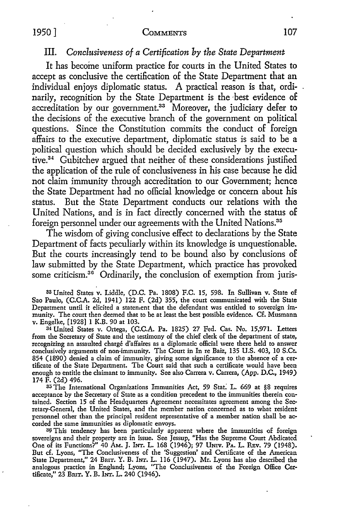# III. *Conclusiveness of a Certification by the State Department*

It has become uniform practice for courts in the United States to accept as conclusive the certification of the State Department that an individual enjoys diplomatic status. A practical reason is that, ordinarily, recognition by the State Department is the best evidence of accreditation by our government.<sup>33</sup> Moreover, the judiciary defer to the decisions of the executive branch of the government on political questions. Since the Constitution commits the conduct of foreign affairs to the executive department, diplomatic status is said to be a political question which should be decided exclusively by the executive. 34 Gubitchev argued that neither of these considerations justified the application of the rule of conclusiveness in his case because he did not claim immunity through accreditation to our Government; hence the State Department had no official knowledge or concern about his status. But the State Department conducts our relations with the United Nations, and is in fact directly concerned with the status of foreign personnel under our agreements with the United Nations.<sup>35</sup>

The wisdom of giving conclusive effect to declarations by the State Department of facts peculiarly within its knowledge is unquestionable. But the courts increasingly tend to be bound also by conclusions of law submitted by the State Department, which practice has provoked some criticism.<sup>36</sup> Ordinarily, the conclusion of exemption from juris-

33 United States v. Liddle, (D.C. Pa. 1808) F.C. 15, 598. In Sullivan v. State of Sao Paulo, (C.C.A. 2d, 1941) 122 F. (2d) 355, the court communicated with the State Department until it elicited a statenient that the defendant was entitled to sovereign immunity. The court then deemed that to be at least the best possible evidence. Cf. Musmann v. Engelke, [1928] 1 K.B. 90 at 103.

<sup>34</sup>United States v. Ortega, (C.C.A. Pa. 1825) 27 Fed. Cas. No. 15,971. Letters from the Secretary of State and the testimony of the chief clerk of the department of state, recognizing an assaulted charge d'alfaires as a diplomatic official were there held to answer conclusively arguments of non-immunity. The Court in In re Baiz, 135 U.S. 403, 10 S.Ct. 854 (1890) denied a claim of immunity, giving some significance to the absence of a certificate of the State Department. The Court said that such a certificate would have been enough to entitle the claimant to immunity. See also Carrera v. Carrera, (App. D.C., 1949) 174 F. (2d) 496.

35 The International Organizations Immunities Act, 59 Stat. L. 669 at §8 requires acceptance *by* the Secretary of State as a condition precedent to the immunities therein contained. Section 15 of the Headquarters Agreement necessitates agreement among the Secretary-General, the United States, and the member nation concerned as to what resident personnel other than the principal resident representative of a member nation shall be accorded the same immunities as diplomatic envoys.

<sup>30</sup> This tendency has been particularly apparent where the immunities of foreign sovereigns and their property are in issue. See Jessup, "Has the Supreme Court Abdicated One of its Functions?" 40 AM. J. lNr. L. 168 (1946); 97 UNIV. PA, L. REv. 79 (1948). But cf. Lyons, "The Conclusiveness of the 'Suggestion' and Certificate of the American State Department," 24 BRIT. Y. B. INT. L. 116 (1947). Mr. Lyons has also described the analogous practice in England; Lyons, "The Conclusiveness of the Foreign Office Certificate," 23 BmT. Y. B. !Nr. L. 240 (1946).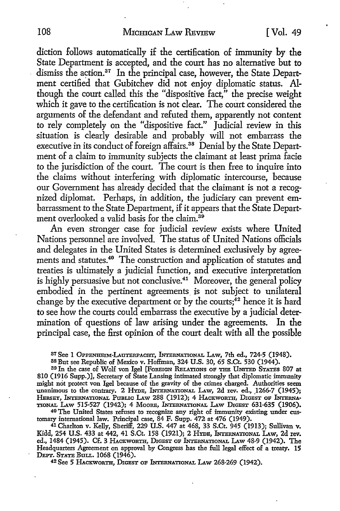diction follows automatically if the certification of immunity by the State Department is accepted, and the court has no alternative but to dismiss the action.<sup>37</sup> In the principal case, however, the State Department certified that Gubitchev did not enjoy diplomatic status. Although the court called this the "dispositive fact," the precise weight which it gave to the certification is not clear. The court considered the arguments of the defendant and refuted them, apparently not content to rely completely on the "dispositive fact." Judicial review in this situation is clearly desirable and probably will not embarrass the executive in its conduct of foreign affairs.<sup>38</sup> Denial by the State Department of a claim to immunity subjects the claimant at least prima facie to the jurisdiction of the court. The court is then free to inquire into the claims without interfering with diplomatic intercourse, because our Government has already decided that the claimant is not a recognized diplomat. Perhaps, in addition, the judiciary can prevent embarrassment to the State Department, if it appears that the State Department overlooked a valid basis for the claim.<sup>39</sup>

An even stronger case for judicial review exists where United Nations personnel are involved. The status of United Nations officials and delegates in the United States is determined exclusively by agreements and statutes.<sup>40</sup> The construction and application of statutes and treaties is ultimately a judicial function, and executive interpretation is highly persuasive but not conclusive.<sup>41</sup> Moreover, the general policy embodied in the pertinent agreements is not subject to unilateral change by the executive department or by the courts;<sup>42</sup> hence it is hard to see how the courts could embarrass the executive by a judicial determination of questions of law arising under the agreements. In the principal case, the first opinion of the court dealt with all the possible

87 See 1 OPPENHEIM-LAUTERPACHT, INTERNATIONAL LAW, 7th ed., 724-5 (1948).

38 But see Republic of Mexico v. Hoffman, 324 U.S. 30, 65 S.Ct. 530 (1944).

80 In the case of Wolf von Igel [FOREIGN RELATIONS OF THE UNITED STATES 807 at 810 (1916 Supp.)], Secretary of State Lansing intimated strongly that diplomatic immunity might not protect von Igel because of the gravity of the crimes charged. Authorities seem unanimous to the contrary. 2 HYDE, INTERNATIONAL LAW, 2d rev. ed., 1266-7 (1945); HERSEY, INTERNATIONAL PUBLIC LAW 288 (1912); 4 HACKWORTH, DIGEST OF INTERNA-TIONAL LAW 515-527 (1942); 4 MOORE, INTERNATIONAL LAW DIGEST 631-635 (1906).

40 The United States refuses to recognize any right of immunity existing under customary international law. Principal case, 84 F. Supp. 472 at 476 (1949).

41 Charlton v. Kelly, Sheriff, 229 U.S. 447 at 468, 33 S.Ct. 945 (1913); Sullivan v. Kidd, 254 U.S. 433 at 442, 41 S.Ct. 158 (1921); 2 HYDE, INTERNATIONAL LAW, 2d rev. ed., 1484 (1945). Cf. 3 HACKWORTH, DIGEST OF INTERNATIONAL LAW 48-9 (1942). The Headquarters Agreement on approval by Congress has the full legal effect of a treaty. **15**  DEPT. STATE BULL. 1068 (1946).

<sup>42</sup> See 5 HACKWORTH, DIGEST OF INTERNATIONAL LAW 268-269 (1942).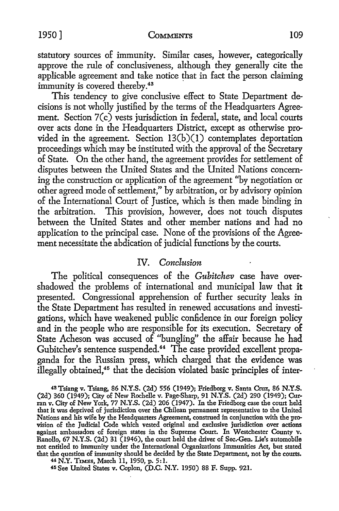statutory sources of immunity. Similar cases, however, categorically approve the rule of conclusiveness, although they generally cite the applicable agreement and take notice that in fact the person claiming immunity is covered thereby.<sup>43</sup>

This tendency to give conclusive effect to State Department decisions is not wholly justified by the terms of the Headquarters Agreement. Section 7(c) vests jurisdiction in federal, state, and local courts over acts done in the Headquarters District, except as otherwise provided in the agreement. Section 13(b)(l) contemplates deportation proceedings which may be instituted with the approval of the Secretary of State. On the other hand, the agreement provides for settlement of disputes between the United States and the United Nations concerning the construction or application of the agreement ''by negotiation or other agreed mode of settlement," by arbitration, or by advisory opinion of the International Court of Justice, which is then made binding in the arbitration. This provision, however, does not touch disputes between the United States and other member nations and had no application to the principal case. None of the provisions of the Agreement necessitate the abdication of judicial functions by the courts.

# IV. *Conclusion*

The political consequences of the *Gubitchev* case have overshadowed the problems of international and municipal law that it presented. Congressional apprehension of further security leaks in the State Department has resulted in renewed accusations and investigations, which have weakened public confidence in our foreign policy and in the people who are responsible for its execution. Secretary of State Acheson was accused of ''bungling" the affair because he had Gubitchev's sentence suspended.<sup>44</sup> The case provided excellent propaganda for the Russian press, which charged that the evidence was illegally obtained,45 that the decision violated basic principles of inter-

4B Tsiang v. Tsiang, 86 N.Y.S. (2d) 556 (1949); Friedberg v. Santa Cruz, 86 **N.Y.S.**  (2d) 360 (1949); City of New Rochelle v. Page-Sharp, 91 N.Y.S. (2d) 290 (1949); Curran v. City of New York, 77 N.Y.S. (2d) 206 (1947). In the Friedborg case the court held that it was deprived of jurisdiction over the Chilean permanent representative to the United Nations and his wife by the Headquarters Agreement, construed in conjunction with the provision of the Judicial Code which vested original and exclusive jurisdiction over actions against ambassadors of foreign states in the Supreme Court. In Westchester County v. Ranallo, 67 N.Y.S. (2d) 31 (1946), the court held the driver of Sec.-Gen. Lie's automobile not entitled to immunity under the International Organizations Immunities Act, but stated that the question of immunity should be decided by the State Department, not by the courts.

<sup>44</sup>N.Y. T1MEs, March 11, 1950, p. 5: I.

45 See United States v. Coplon, (D.C. N.Y. 1950) 88 F. Supp. 921.